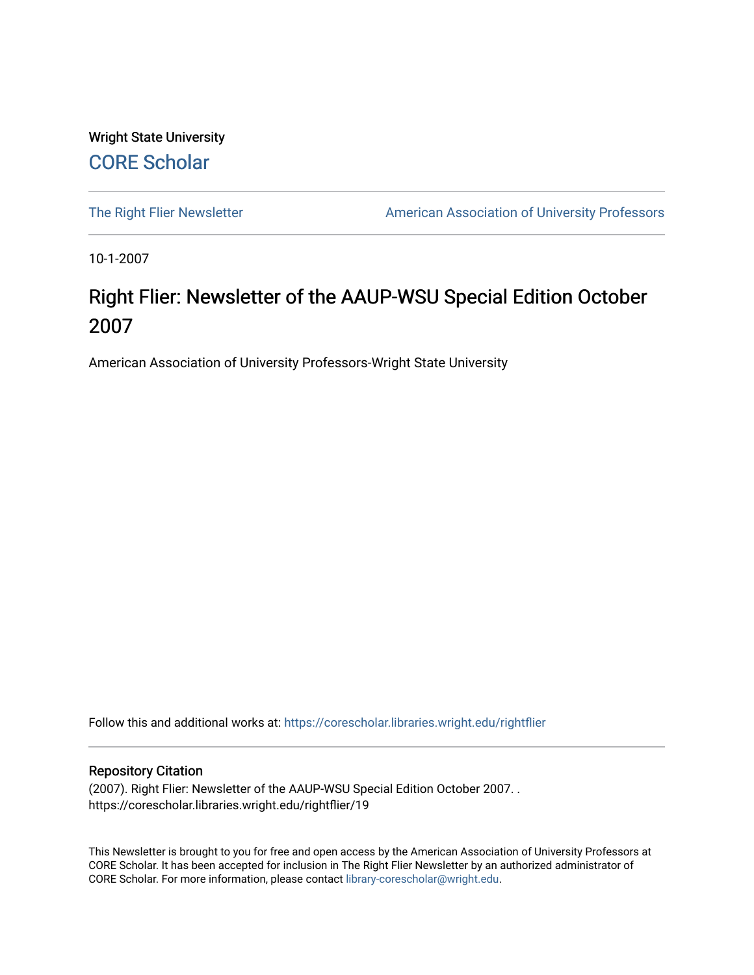Wright State University [CORE Scholar](https://corescholar.libraries.wright.edu/)

[The Right Flier Newsletter](https://corescholar.libraries.wright.edu/rightflier) **American Association of University Professors** 

10-1-2007

## Right Flier: Newsletter of the AAUP-WSU Special Edition October 2007

American Association of University Professors-Wright State University

Follow this and additional works at: [https://corescholar.libraries.wright.edu/rightflier](https://corescholar.libraries.wright.edu/rightflier?utm_source=corescholar.libraries.wright.edu%2Frightflier%2F19&utm_medium=PDF&utm_campaign=PDFCoverPages) 

## Repository Citation

(2007). Right Flier: Newsletter of the AAUP-WSU Special Edition October 2007. . https://corescholar.libraries.wright.edu/rightflier/19

This Newsletter is brought to you for free and open access by the American Association of University Professors at CORE Scholar. It has been accepted for inclusion in The Right Flier Newsletter by an authorized administrator of CORE Scholar. For more information, please contact [library-corescholar@wright.edu](mailto:library-corescholar@wright.edu).